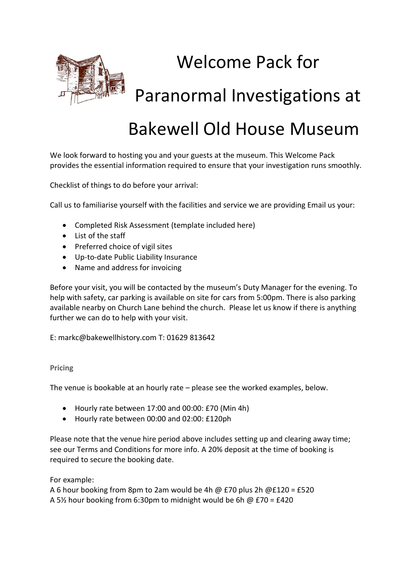

# Welcome Pack for

Paranormal Investigations at

## Bakewell Old House Museum

We look forward to hosting you and your guests at the museum. This Welcome Pack provides the essential information required to ensure that your investigation runs smoothly.

Checklist of things to do before your arrival:

Call us to familiarise yourself with the facilities and service we are providing Email us your:

- Completed Risk Assessment (template included here)
- List of the staff
- Preferred choice of vigil sites
- Up-to-date Public Liability Insurance
- Name and address for invoicing

Before your visit, you will be contacted by the museum's Duty Manager for the evening. To help with safety, car parking is available on site for cars from 5:00pm. There is also parking available nearby on Church Lane behind the church. Please let us know if there is anything further we can do to help with your visit.

E: markc@bakewellhistory.com T: 01629 813642

#### **Pricing**

The venue is bookable at an hourly rate – please see the worked examples, below.

- Hourly rate between 17:00 and 00:00: £70 (Min 4h)
- Hourly rate between 00:00 and 02:00: £120ph

Please note that the venue hire period above includes setting up and clearing away time; see our Terms and Conditions for more info. A 20% deposit at the time of booking is required to secure the booking date.

For example:

A 6 hour booking from 8pm to 2am would be 4h @ £70 plus 2h @£120 = £520 A 5% hour booking from 6:30pm to midnight would be 6h  $\omega$  £70 = £420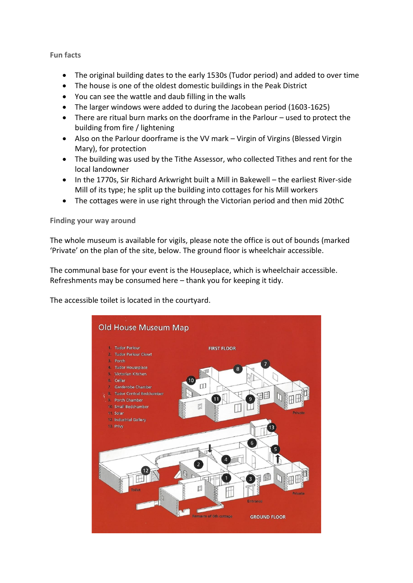#### **Fun facts**

- The original building dates to the early 1530s (Tudor period) and added to over time
- The house is one of the oldest domestic buildings in the Peak District
- You can see the wattle and daub filling in the walls
- The larger windows were added to during the Jacobean period (1603-1625)
- There are ritual burn marks on the doorframe in the Parlour used to protect the building from fire / lightening
- Also on the Parlour doorframe is the VV mark Virgin of Virgins (Blessed Virgin Mary), for protection
- The building was used by the Tithe Assessor, who collected Tithes and rent for the local landowner
- In the 1770s, Sir Richard Arkwright built a Mill in Bakewell the earliest River-side Mill of its type; he split up the building into cottages for his Mill workers
- The cottages were in use right through the Victorian period and then mid 20thC

**Finding your way around** 

The whole museum is available for vigils, please note the office is out of bounds (marked 'Private' on the plan of the site, below. The ground floor is wheelchair accessible.

The communal base for your event is the Houseplace, which is wheelchair accessible. Refreshments may be consumed here – thank you for keeping it tidy.

The accessible toilet is located in the courtyard.